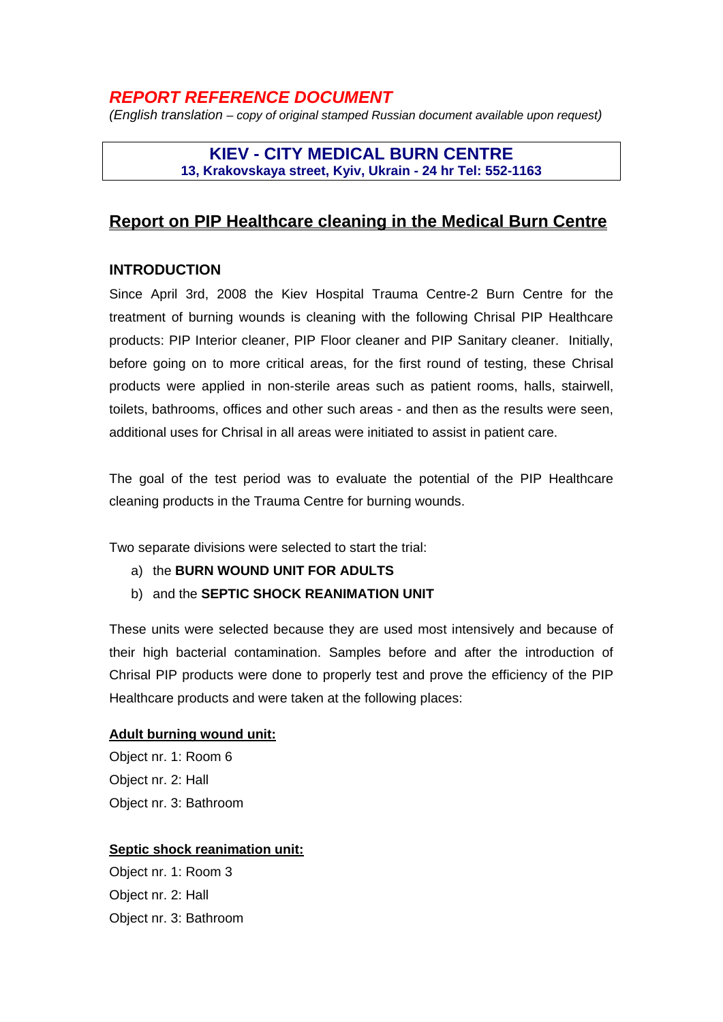# *REPORT REFERENCE DOCUMENT*

*(English translation – copy of original stamped Russian document available upon request)* 

## **KIEV - CITY MEDICAL BURN CENTRE 13, Krakovskaya street, Kyiv, Ukrain - 24 hr Tel: 552-1163**

## **Report on PIP Healthcare cleaning in the Medical Burn Centre**

## **INTRODUCTION**

Since April 3rd, 2008 the Kiev Hospital Trauma Centre-2 Burn Centre for the treatment of burning wounds is cleaning with the following Chrisal PIP Healthcare products: PIP Interior cleaner, PIP Floor cleaner and PIP Sanitary cleaner. Initially, before going on to more critical areas, for the first round of testing, these Chrisal products were applied in non-sterile areas such as patient rooms, halls, stairwell, toilets, bathrooms, offices and other such areas - and then as the results were seen, additional uses for Chrisal in all areas were initiated to assist in patient care.

The goal of the test period was to evaluate the potential of the PIP Healthcare cleaning products in the Trauma Centre for burning wounds.

Two separate divisions were selected to start the trial:

- a) the **BURN WOUND UNIT FOR ADULTS**
- b) and the **SEPTIC SHOCK REANIMATION UNIT**

These units were selected because they are used most intensively and because of their high bacterial contamination. Samples before and after the introduction of Chrisal PIP products were done to properly test and prove the efficiency of the PIP Healthcare products and were taken at the following places:

#### **Adult burning wound unit:**

Object nr. 1: Room 6 Object nr. 2: Hall Object nr. 3: Bathroom

#### **Septic shock reanimation unit:**

Object nr. 1: Room 3 Object nr. 2: Hall Object nr. 3: Bathroom